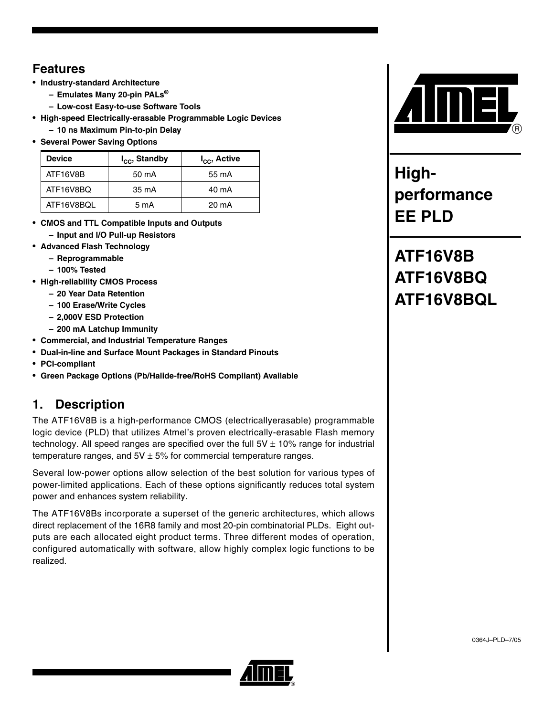## **Features**

- **Industry-standard Architecture**
	- **Emulates Many 20-pin PALs®**
	- **Low-cost Easy-to-use Software Tools**
- **High-speed Electrically-erasable Programmable Logic Devices – 10 ns Maximum Pin-to-pin Delay**
- **Several Power Saving Options**

| <b>Device</b> | $I_{CC}$ , Standby | I <sub>CC</sub> , Active |
|---------------|--------------------|--------------------------|
| ATF16V8B      | 50 mA              | 55 mA                    |
| ATF16V8BQ     | 35 mA              | 40 mA                    |
| ATF16V8BQL    | 5 mA               | 20 mA                    |

- **CMOS and TTL Compatible Inputs and Outputs – Input and I/O Pull-up Resistors**
- **Advanced Flash Technology**
	- **Reprogrammable**
	- **100% Tested**
- **High-reliability CMOS Process**
	- **20 Year Data Retention**
	- **100 Erase/Write Cycles**
	- **2,000V ESD Protection**
	- **200 mA Latchup Immunity**
- **Commercial, and Industrial Temperature Ranges**
- **Dual-in-line and Surface Mount Packages in Standard Pinouts**
- **PCI-compliant**
- **Green Package Options (Pb/Halide-free/RoHS Compliant) Available**

## **1. Description**

The ATF16V8B is a high-performance CMOS (electricallyerasable) programmable logic device (PLD) that utilizes Atmel's proven electrically-erasable Flash memory technology. All speed ranges are specified over the full  $5V \pm 10\%$  range for industrial temperature ranges, and  $5V \pm 5\%$  for commercial temperature ranges.

Several low-power options allow selection of the best solution for various types of power-limited applications. Each of these options significantly reduces total system power and enhances system reliability.

The ATF16V8Bs incorporate a superset of the generic architectures, which allows direct replacement of the 16R8 family and most 20-pin combinatorial PLDs. Eight outputs are each allocated eight product terms. Three different modes of operation, configured automatically with software, allow highly complex logic functions to be realized.



**Highperformance EE PLD**

**ATF16V8B ATF16V8BQ ATF16V8BQL**



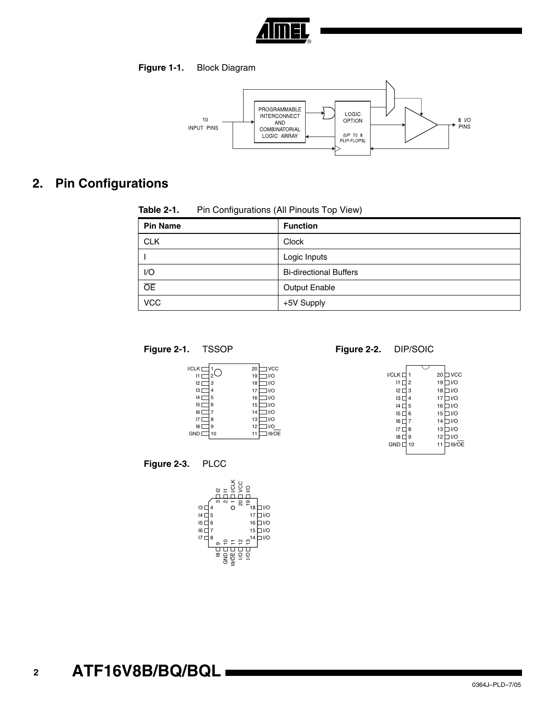

#### **Figure 1-1.** Block Diagram



## **2. Pin Configurations**

| Table 2-1. |  | Pin Configurations (All Pinouts Top View) |
|------------|--|-------------------------------------------|
|------------|--|-------------------------------------------|

| <b>Pin Name</b> | <b>Function</b>               |
|-----------------|-------------------------------|
| <b>CLK</b>      | <b>Clock</b>                  |
|                 | Logic Inputs                  |
| I/O             | <b>Bi-directional Buffers</b> |
| $\overline{OE}$ | Output Enable                 |
| <b>VCC</b>      | +5V Supply                    |

#### **Figure 2-1.** TSSOP **Figure 2-2.** DIP/SOIC

| I/CLK [         |    | 20 | <b>J</b> VCC |
|-----------------|----|----|--------------|
|                 | 2  | 19 | 11/O         |
| 12 <sup>2</sup> | 3  | 18 | 11/O         |
| 3               | 4  | 17 | 11/O         |
| 14 I            | 5  | 16 | 11/O         |
| 15 <sup>2</sup> | 6  | 15 | 11/O         |
| 16 [            |    | 14 | 11/O         |
| 17              | 8  | 13 | 11/O         |
| 8               | 9  | 12 | 1/O          |
| <b>GND</b> [    | 10 | 11 | 19/OE        |
|                 |    |    |              |

| I/CLK <sub>[</sub> |                | 20 | $\exists$ VCC |
|--------------------|----------------|----|---------------|
| 11 O               | $\overline{2}$ | 19 | $\Box$ I/O    |
| 12 N               | 3              | 18 | 11/0          |
| 13 L               | 4              | 17 | ס/ו⊏          |
| 14 L               | 5              | 16 | ס/ו ⊏         |
| 15 C               | 6              | 15 | ס/ו ב         |
| 16 L               | 7              | 14 | $\Box$ I/O    |
| 17 L               | 8              | 13 | 71/0          |
| 18 <sub>[</sub>    | 9              | 12 | ס/ו⊏          |
| $GND$ $\Box$       | 10             | 11 | □ 19/OE       |
|                    |                |    |               |

### **Figure 2-3.** PLCC

|                      | N | <b>VOLK</b>              | g | Q              |     |
|----------------------|---|--------------------------|---|----------------|-----|
|                      | S | $\mathbf{\Omega}$        | ສ | $\overline{9}$ |     |
| IЗ                   |   |                          |   | 18             | I/O |
| 5<br>14              |   |                          |   | 17             | I/O |
| 15                   | 6 |                          |   | 16             | 1/O |
| $\overline{7}$<br>16 |   |                          |   | 15             | I/O |
| 8<br>17              |   |                          |   | 14             | 1/O |
|                      | ၜ |                          |   |                |     |
|                      |   |                          |   |                |     |
|                      | ഇ |                          | ୧ | Q              |     |
|                      |   | <b>BO/GI</b><br>9<br>GND |   |                |     |
|                      |   |                          |   |                |     |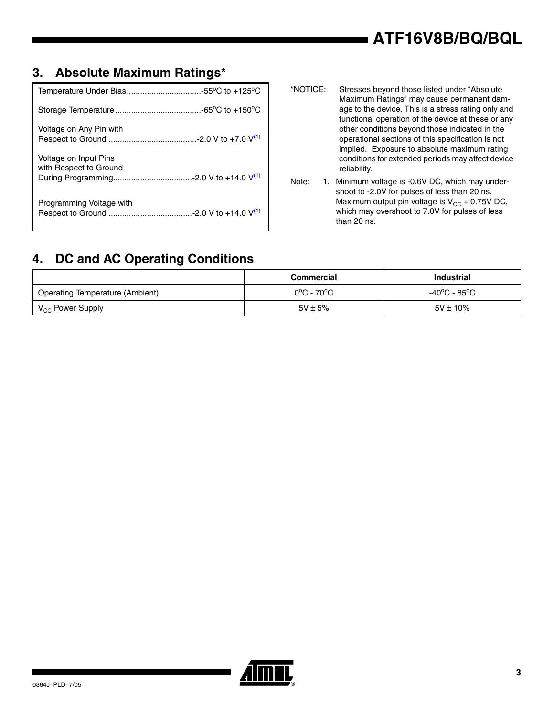## **3. Absolute Maximum Ratings\***

| Temperature Under Bias55°C to +125°C            |  |
|-------------------------------------------------|--|
|                                                 |  |
| Voltage on Any Pin with                         |  |
| Voltage on Input Pins<br>with Respect to Ground |  |
| Programming Voltage with                        |  |

\*NOTICE: Stresses beyond those listed under "Absolute Maximum Ratings" may cause permanent damage to the device. This is a stress rating only and functional operation of the device at these or any other conditions beyond those indicated in the operational sections of this specification is not implied. Exposure to absolute maximum rating conditions for extended periods may affect device reliability.

<span id="page-2-0"></span>Note: 1. Minimum voltage is -0.6V DC, which may undershoot to -2.0V for pulses of less than 20 ns. Maximum output pin voltage is  $V_{CC}$  + 0.75V DC, which may overshoot to 7.0V for pulses of less than 20 ns.

## **4. DC and AC Operating Conditions**

|                                 | <b>Commercial</b>               | <b>Industrial</b>                 |
|---------------------------------|---------------------------------|-----------------------------------|
| Operating Temperature (Ambient) | $0^{\circ}$ C - 70 $^{\circ}$ C | $-40^{\circ}$ C - 85 $^{\circ}$ C |
| V <sub>CC</sub> Power Supply    | $5V \pm 5%$                     | $5V \pm 10\%$                     |

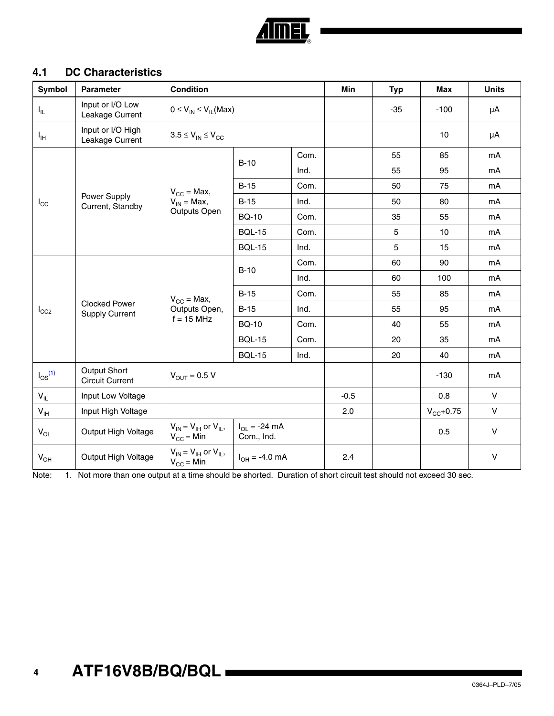

### **4.1 DC Characteristics**

| <b>Symbol</b>   | <b>Parameter</b>                              | <b>Condition</b>                                         |                                         |      | Min    | <b>Typ</b>     | <b>Max</b> | <b>Units</b> |
|-----------------|-----------------------------------------------|----------------------------------------------------------|-----------------------------------------|------|--------|----------------|------------|--------------|
| $I_{\rm IL}$    | Input or I/O Low<br>Leakage Current           |                                                          | $0 \leq V_{IN} \leq V_{IL}$ (Max)       |      |        | $-35$          | $-100$     | μA           |
| $I_{\rm IH}$    | Input or I/O High<br>Leakage Current          | $3.5 \leq V_{IN} \leq V_{CC}$                            |                                         |      |        |                | 10         | μA           |
|                 |                                               |                                                          | $B-10$                                  | Com. |        | 55             | 85         | mA           |
|                 |                                               |                                                          |                                         | Ind. |        | 55             | 95         | mA           |
|                 |                                               | $V_{CC}$ = Max,                                          | $B-15$                                  | Com. |        | 50             | 75         | mA           |
| $I_{\rm CC}$    | Power Supply<br>Current, Standby              | $V_{IN}$ = Max,                                          | $B-15$                                  | Ind. |        | 50             | 80         | mA           |
|                 |                                               | Outputs Open                                             | <b>BQ-10</b>                            | Com. |        | 35             | 55         | mA           |
|                 |                                               |                                                          | <b>BQL-15</b>                           | Com. |        | $\sqrt{5}$     | 10         | mA           |
|                 |                                               |                                                          | <b>BQL-15</b>                           | Ind. |        | 5              | 15         | mA           |
|                 |                                               | $V_{CC}$ = Max,<br>Outputs Open,<br>$f = 15 MHz$         | $B-10$                                  | Com. |        | 60             | 90         | mA           |
|                 |                                               |                                                          |                                         | Ind. |        | 60             | 100        | mA           |
|                 |                                               |                                                          | $B-15$                                  | Com. |        | 55             | 85         | mA           |
| $I_{CC2}$       | <b>Clocked Power</b><br><b>Supply Current</b> |                                                          | $B-15$                                  | Ind. |        | 55             | 95         | mA           |
|                 |                                               |                                                          | <b>BQ-10</b>                            | Com. |        | 40             | 55         | mA           |
|                 |                                               |                                                          | <b>BQL-15</b>                           | Com. |        | 20             | 35         | mA           |
|                 |                                               |                                                          | <b>BQL-15</b>                           | Ind. |        | 20             | 40         | mA           |
| $I_{OS}^{(1)}$  | <b>Output Short</b><br><b>Circuit Current</b> | $V_{\text{OUT}} = 0.5 V$                                 |                                         |      |        |                | $-130$     | mA           |
| $V_{IL}$        | Input Low Voltage                             |                                                          |                                         |      | $-0.5$ |                | 0.8        | V            |
| $V_{\text{IH}}$ | Input High Voltage                            |                                                          |                                         | 2.0  |        | $V_{CC}$ +0.75 | V          |              |
| $V_{OL}$        | Output High Voltage                           | $V_{IN} = V_{IH}$ or $V_{IL}$ ,<br>$V_{CC}$ = Min        | $I_{OL} = -24 \text{ mA}$<br>Com., Ind. |      |        |                | 0.5        | $\vee$       |
| $V_{OH}$        | Output High Voltage                           | $V_{IN} = V_{IH}$ or $V_{IL}$ ,<br>$V_{\text{CC}}$ = Min | $I_{OH} = -4.0$ mA                      |      | 2.4    |                |            | $\mathsf{V}$ |

<span id="page-3-0"></span>Note: 1. Not more than one output at a time should be shorted. Duration of short circuit test should not exceed 30 sec.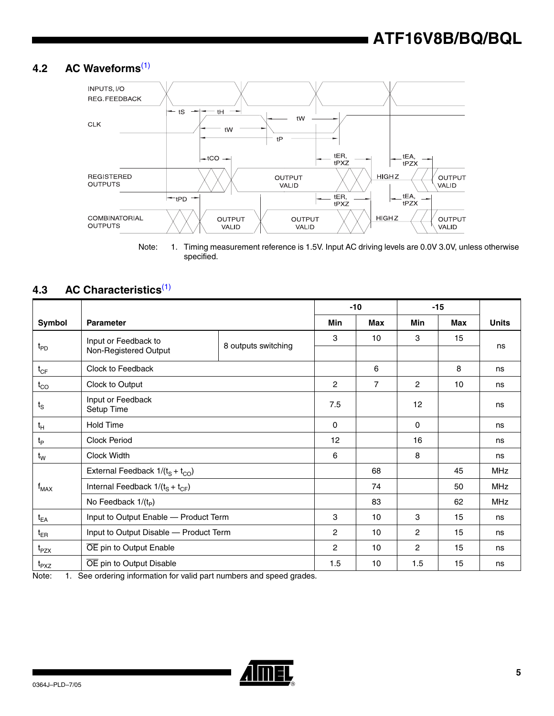## **4.2 AC Waveforms**[\(1\)](#page-4-0)



<span id="page-4-0"></span>Note: 1. Timing measurement reference is 1.5V. Input AC driving levels are 0.0V 3.0V, unless otherwise specified.

### **4.3 AC Characteristics**[\(1\)](#page-4-1)

|                  |                                                                                                                                                                                                                                                               |                     |                | $-10$          |                | $-15$           |              |
|------------------|---------------------------------------------------------------------------------------------------------------------------------------------------------------------------------------------------------------------------------------------------------------|---------------------|----------------|----------------|----------------|-----------------|--------------|
| Symbol           | <b>Parameter</b>                                                                                                                                                                                                                                              |                     | Min            | Max            | Min            | Max             | <b>Units</b> |
| $t_{PD}$         | Input or Feedback to<br>Non-Registered Output                                                                                                                                                                                                                 | 8 outputs switching | 3              | 10             | 3              | 15              | ns           |
| $t_{CF}$         | Clock to Feedback                                                                                                                                                                                                                                             |                     |                | 6              |                | 8               | ns           |
| $t_{CO}$         | Clock to Output                                                                                                                                                                                                                                               |                     | $\overline{2}$ | $\overline{7}$ | $\overline{2}$ | 10 <sup>1</sup> | ns           |
| $t_{\rm S}$      | Input or Feedback<br>Setup Time                                                                                                                                                                                                                               |                     | 7.5            |                | 12             |                 | ns           |
| $t_H$            | <b>Hold Time</b>                                                                                                                                                                                                                                              |                     | $\mathbf 0$    |                | $\mathbf 0$    |                 | ns           |
| $t_{\mathsf{P}}$ | <b>Clock Period</b>                                                                                                                                                                                                                                           |                     | 12             |                | 16             |                 | ns           |
| $t_{W}$          | Clock Width                                                                                                                                                                                                                                                   |                     | 6              |                | 8              |                 | ns           |
|                  | External Feedback $1/(t_S + t_{CO})$                                                                                                                                                                                                                          |                     |                | 68             |                | 45              | <b>MHz</b>   |
| $f_{MAX}$        | Internal Feedback $1/(t_S + t_{CF})$                                                                                                                                                                                                                          |                     |                | 74             |                | 50              | <b>MHz</b>   |
|                  | No Feedback $1/(t_p)$                                                                                                                                                                                                                                         |                     |                | 83             |                | 62              | <b>MHz</b>   |
| $t_{EA}$         | Input to Output Enable - Product Term                                                                                                                                                                                                                         |                     | 3              | 10             | 3              | 15              | ns           |
| $t_{ER}$         | Input to Output Disable - Product Term                                                                                                                                                                                                                        |                     | $\overline{2}$ | 10             | $\overline{2}$ | 15              | ns           |
| t <sub>PZX</sub> | OE pin to Output Enable                                                                                                                                                                                                                                       |                     | $\overline{2}$ | 10             | $\overline{2}$ | 15              | ns           |
| $t_{PXZ}$        | OE pin to Output Disable<br>$\bullet$ and the state of the state of the state of the state of the state of the state of the state of the state of the state of the state of the state of the state of the state of the state of the state of the state of the |                     | 1.5            | 10             | 1.5            | 15              | ns           |

<span id="page-4-1"></span>Note: 1. See ordering information for valid part numbers and speed grades.

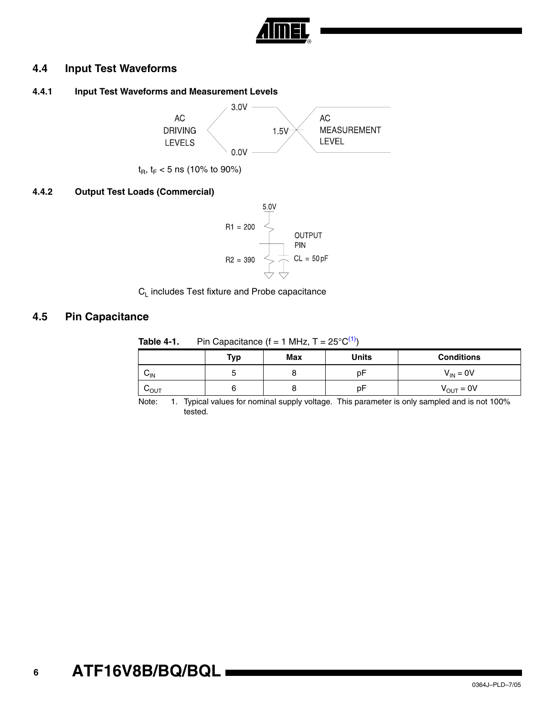

#### **4.4 Input Test Waveforms**

#### **4.4.1 Input Test Waveforms and Measurement Levels**



 $t_{\text{R}}$ ,  $t_{\text{F}}$  < 5 ns (10% to 90%)

#### **4.4.2 Output Test Loads (Commercial)**



 $C_L$  includes Test fixture and Probe capacitance

#### **4.5 Pin Capacitance**

**Table 4-1.** Pin Capacitance  $(f = 1 \text{ MHz}, T = 25^{\circ}C^{(1)})$ 

|                                 | Typ | Max | Units | <b>Conditions</b>         |
|---------------------------------|-----|-----|-------|---------------------------|
| ∽<br>$\mathsf{v}_{\mathsf{IN}}$ | ×.  |     | D۲    | $V_{IN} = 0V$             |
| $\sim_{\text{OUT}}$             |     | O   | D٣    | $\rm V^{}_{\rm OUT}$ = 0V |

<span id="page-5-0"></span>Note: 1. Typical values for nominal supply voltage. This parameter is only sampled and is not 100% tested.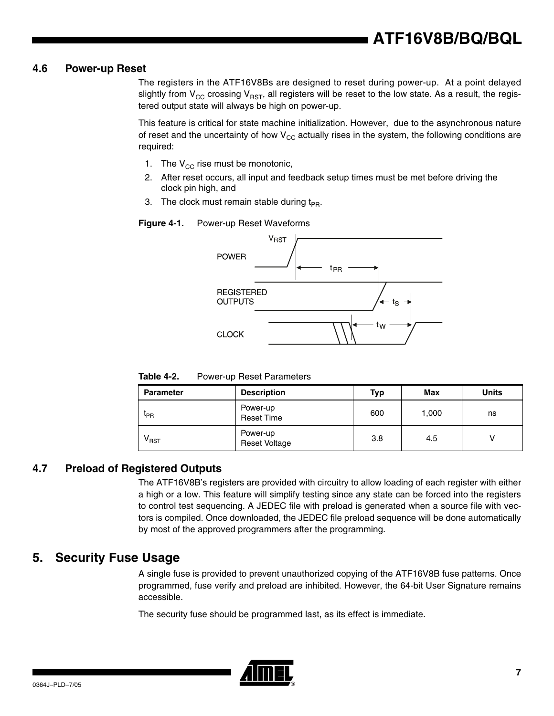#### **4.6 Power-up Reset**

The registers in the ATF16V8Bs are designed to reset during power-up. At a point delayed slightly from  $V_{\text{CC}}$  crossing  $V_{\text{RST}}$ , all registers will be reset to the low state. As a result, the registered output state will always be high on power-up.

This feature is critical for state machine initialization. However, due to the asynchronous nature of reset and the uncertainty of how  $V_{CC}$  actually rises in the system, the following conditions are required:

- 1. The  $V_{CC}$  rise must be monotonic,
- 2. After reset occurs, all input and feedback setup times must be met before driving the clock pin high, and
- 3. The clock must remain stable during  $t_{PR}$ .

#### **Figure 4-1.** Power-up Reset Waveforms



| Table 4-2. | <b>Power-up Reset Parameters</b> |  |
|------------|----------------------------------|--|
|------------|----------------------------------|--|

| <b>Parameter</b>            | <b>Description</b>        | Typ | Max   | <b>Units</b> |
|-----------------------------|---------------------------|-----|-------|--------------|
| <sup>L</sup> PR             | Power-up<br>Reset Time    | 600 | 1,000 | ns           |
| $\mathsf{V}_{\mathsf{RST}}$ | Power-up<br>Reset Voltage | 3.8 | 4.5   |              |

#### **4.7 Preload of Registered Outputs**

The ATF16V8B's registers are provided with circuitry to allow loading of each register with either a high or a low. This feature will simplify testing since any state can be forced into the registers to control test sequencing. A JEDEC file with preload is generated when a source file with vectors is compiled. Once downloaded, the JEDEC file preload sequence will be done automatically by most of the approved programmers after the programming.

### **5. Security Fuse Usage**

A single fuse is provided to prevent unauthorized copying of the ATF16V8B fuse patterns. Once programmed, fuse verify and preload are inhibited. However, the 64-bit User Signature remains accessible.

The security fuse should be programmed last, as its effect is immediate.

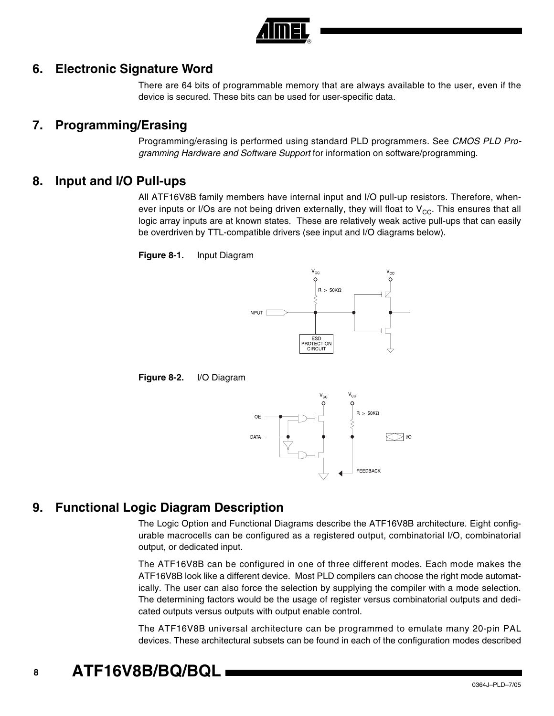

### **6. Electronic Signature Word**

There are 64 bits of programmable memory that are always available to the user, even if the device is secured. These bits can be used for user-specific data.

### **7. Programming/Erasing**

Programming/erasing is performed using standard PLD programmers. See *CMOS PLD Programming Hardware and Software Support* for information on software/programming.

### **8. Input and I/O Pull-ups**

All ATF16V8B family members have internal input and I/O pull-up resistors. Therefore, whenever inputs or I/Os are not being driven externally, they will float to  $V_{\text{CC}}$ . This ensures that all logic array inputs are at known states. These are relatively weak active pull-ups that can easily be overdriven by TTL-compatible drivers (see input and I/O diagrams below).









## **9. Functional Logic Diagram Description**

The Logic Option and Functional Diagrams describe the ATF16V8B architecture. Eight configurable macrocells can be configured as a registered output, combinatorial I/O, combinatorial output, or dedicated input.

The ATF16V8B can be configured in one of three different modes. Each mode makes the ATF16V8B look like a different device. Most PLD compilers can choose the right mode automatically. The user can also force the selection by supplying the compiler with a mode selection. The determining factors would be the usage of register versus combinatorial outputs and dedicated outputs versus outputs with output enable control.

The ATF16V8B universal architecture can be programmed to emulate many 20-pin PAL devices. These architectural subsets can be found in each of the configuration modes described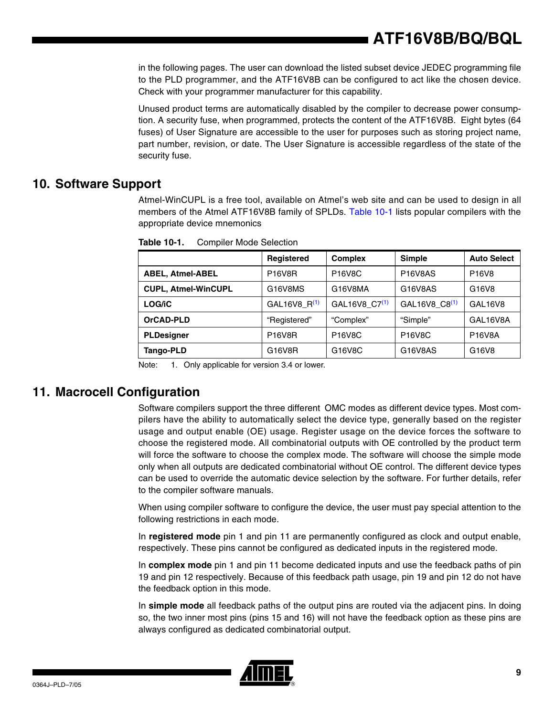in the following pages. The user can download the listed subset device JEDEC programming file to the PLD programmer, and the ATF16V8B can be configured to act like the chosen device. Check with your programmer manufacturer for this capability.

Unused product terms are automatically disabled by the compiler to decrease power consumption. A security fuse, when programmed, protects the content of the ATF16V8B. Eight bytes (64 fuses) of User Signature are accessible to the user for purposes such as storing project name, part number, revision, or date. The User Signature is accessible regardless of the state of the security fuse.

#### **10. Software Support**

Atmel-WinCUPL is a free tool, available on Atmel's web site and can be used to design in all members of the Atmel ATF16V8B family of SPLDs. [Table 10-1](#page-8-0) lists popular compilers with the appropriate device mnemonics

|                            | Registered    | <b>Complex</b>                   | <b>Simple</b>                    | <b>Auto Select</b> |
|----------------------------|---------------|----------------------------------|----------------------------------|--------------------|
| <b>ABEL, Atmel-ABEL</b>    | <b>P16V8R</b> | P <sub>16</sub> V <sub>8</sub> C | <b>P16V8AS</b>                   | <b>P16V8</b>       |
| <b>CUPL, Atmel-WinCUPL</b> | G16V8MS       | G16V8MA                          | G16V8AS                          | G16V8              |
| LOG/iC                     | GAL16V8 R(1)  | GAL16V8 C7 <sup>(1)</sup>        | GAL16V8_C8 <sup>(1)</sup>        | GAL16V8            |
| OrCAD-PLD                  | "Registered"  | "Complex"                        | "Simple"                         | GAL16V8A           |
| <b>PLDesigner</b>          | <b>P16V8R</b> | P16V8C                           | P <sub>16</sub> V <sub>8</sub> C | P16V8A             |
| Tango-PLD                  | G16V8R        | G16V8C                           | G16V8AS                          | G16V8              |

<span id="page-8-0"></span>**Table 10-1.** Compiler Mode Selection

<span id="page-8-1"></span>Note: 1. Only applicable for version 3.4 or lower.

### **11. Macrocell Configuration**

Software compilers support the three different OMC modes as different device types. Most compilers have the ability to automatically select the device type, generally based on the register usage and output enable (OE) usage. Register usage on the device forces the software to choose the registered mode. All combinatorial outputs with OE controlled by the product term will force the software to choose the complex mode. The software will choose the simple mode only when all outputs are dedicated combinatorial without OE control. The different device types can be used to override the automatic device selection by the software. For further details, refer to the compiler software manuals.

When using compiler software to configure the device, the user must pay special attention to the following restrictions in each mode.

In **registered mode** pin 1 and pin 11 are permanently configured as clock and output enable, respectively. These pins cannot be configured as dedicated inputs in the registered mode.

In **complex mode** pin 1 and pin 11 become dedicated inputs and use the feedback paths of pin 19 and pin 12 respectively. Because of this feedback path usage, pin 19 and pin 12 do not have the feedback option in this mode.

In **simple mode** all feedback paths of the output pins are routed via the adjacent pins. In doing so, the two inner most pins (pins 15 and 16) will not have the feedback option as these pins are always configured as dedicated combinatorial output.

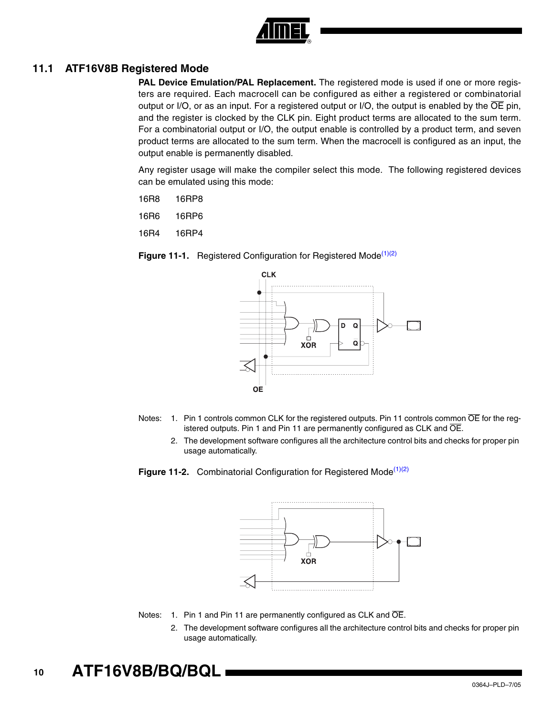

#### **11.1 ATF16V8B Registered Mode**

**PAL Device Emulation/PAL Replacement.** The registered mode is used if one or more registers are required. Each macrocell can be configured as either a registered or combinatorial output or I/O, or as an input. For a registered output or I/O, the output is enabled by the  $\overline{OE}$  pin, and the register is clocked by the CLK pin. Eight product terms are allocated to the sum term. For a combinatorial output or I/O, the output enable is controlled by a product term, and seven product terms are allocated to the sum term. When the macrocell is configured as an input, the output enable is permanently disabled.

Any register usage will make the compiler select this mode. The following registered devices can be emulated using this mode:

- 16R8 16RP8
- 16R6 16RP6
- 16R4 16RP4

**Figure 11-1.** Registered Configuration for Registered Mode<sup>[\(1\)](#page-9-0)[\(2\)](#page-9-1)</sup>



- <span id="page-9-1"></span><span id="page-9-0"></span>Notes: 1. Pin 1 controls common CLK for the registered outputs. Pin 11 controls common  $\overline{OE}$  for the registered outputs. Pin 1 and Pin 11 are permanently configured as CLK and OE.
	- 2. The development software configures all the architecture control bits and checks for proper pin usage automatically.

#### **Figure 11-2.** Combinatorial Configuration for Registered Mode<sup>[\(1\)](#page-9-2)[\(2\)](#page-9-3)</sup>



- <span id="page-9-3"></span><span id="page-9-2"></span>Notes: 1. Pin 1 and Pin 11 are permanently configured as CLK and  $\overline{OE}$ .
	- 2. The development software configures all the architecture control bits and checks for proper pin usage automatically.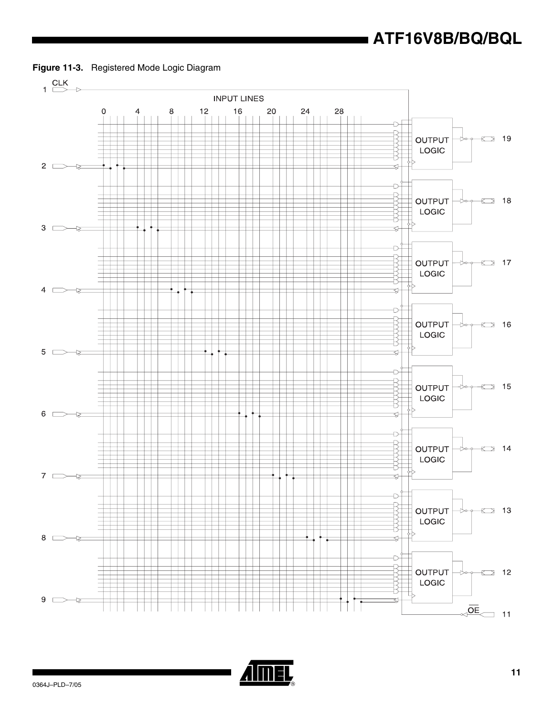

**Figure 11-3.** Registered Mode Logic Diagram

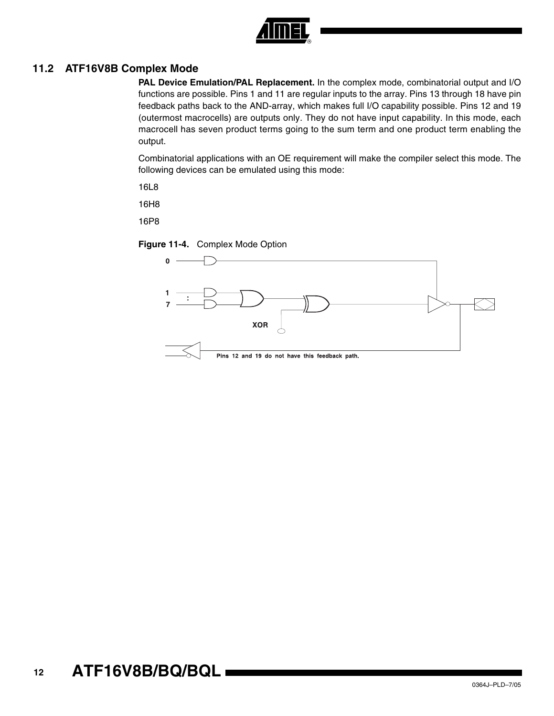

#### **11.2 ATF16V8B Complex Mode**

**PAL Device Emulation/PAL Replacement.** In the complex mode, combinatorial output and I/O functions are possible. Pins 1 and 11 are regular inputs to the array. Pins 13 through 18 have pin feedback paths back to the AND-array, which makes full I/O capability possible. Pins 12 and 19 (outermost macrocells) are outputs only. They do not have input capability. In this mode, each macrocell has seven product terms going to the sum term and one product term enabling the output.

Combinatorial applications with an OE requirement will make the compiler select this mode. The following devices can be emulated using this mode:

16L8

16H8

16P8



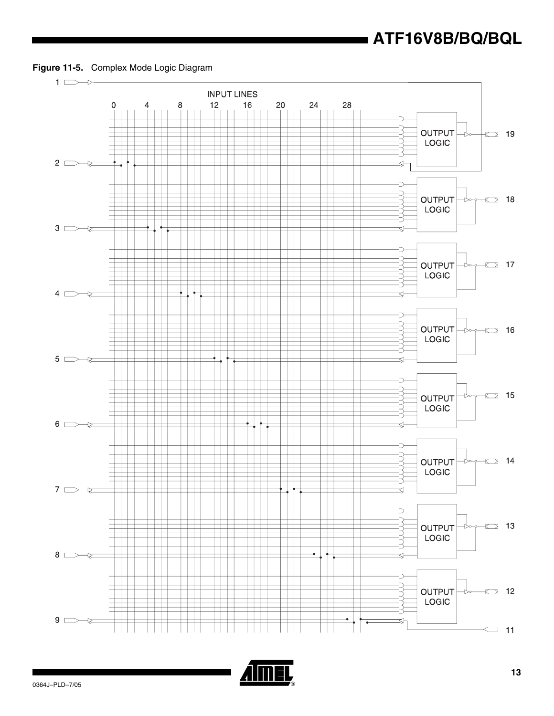



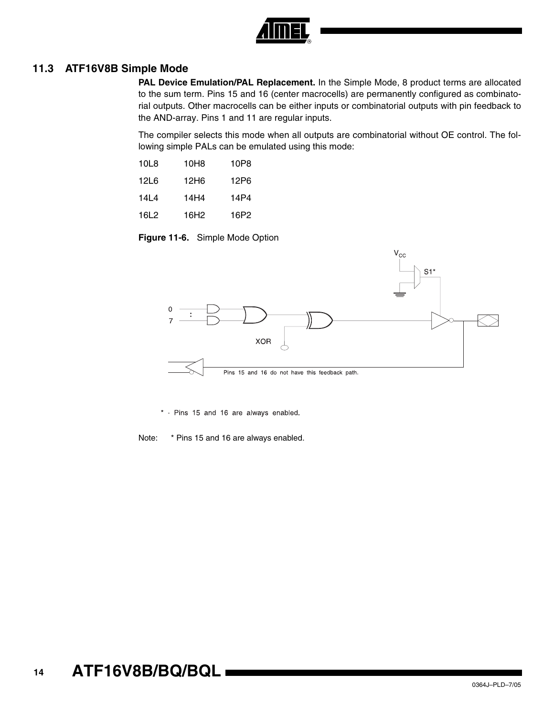

#### **11.3 ATF16V8B Simple Mode**

**PAL Device Emulation/PAL Replacement.** In the Simple Mode, 8 product terms are allocated to the sum term. Pins 15 and 16 (center macrocells) are permanently configured as combinatorial outputs. Other macrocells can be either inputs or combinatorial outputs with pin feedback to the AND-array. Pins 1 and 11 are regular inputs.

The compiler selects this mode when all outputs are combinatorial without OE control. The following simple PALs can be emulated using this mode:

| 10L8  | 10H8 | 10P8 |
|-------|------|------|
| 12L6  | 12H6 | 12P6 |
| 14L4  | 14H4 | 14P4 |
| 16L 2 | 16H2 | 16P2 |

**Figure 11-6.** Simple Mode Option



\* - Pins 15 and 16 are always enabled.

Note: \* Pins 15 and 16 are always enabled.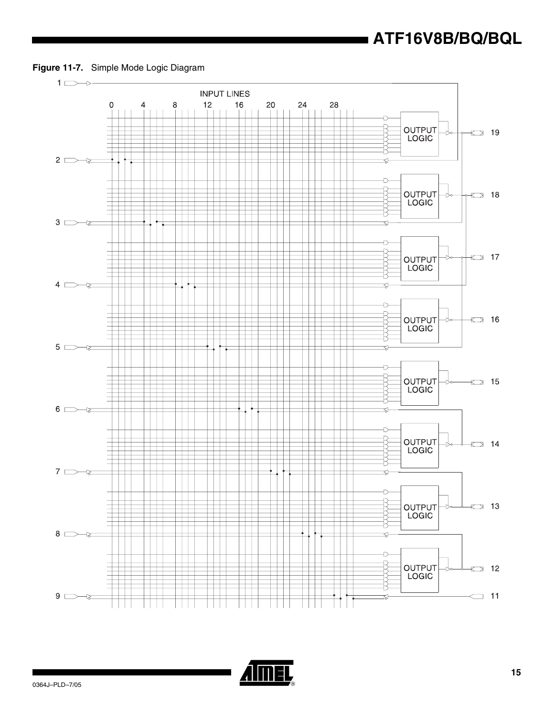



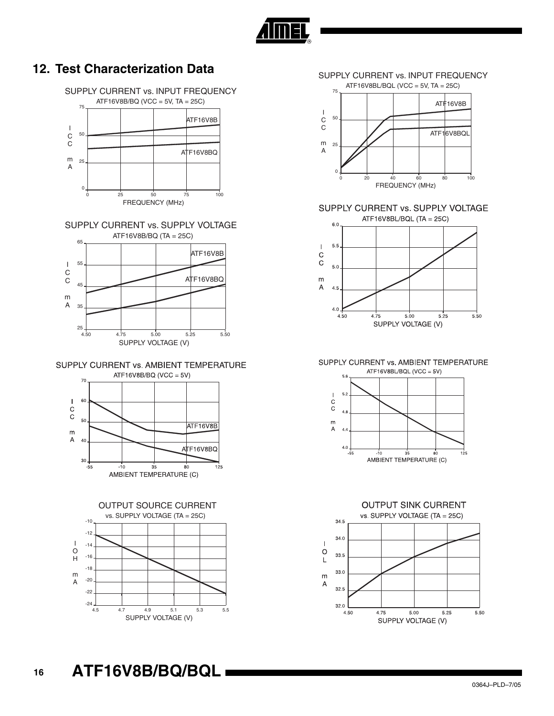

## **12. Test Characterization Data**

SUPPLY CURRENT vs. INPUT FREQUENCY ATF16V8B/BQ (VCC = 5V, TA = 25C) 75



SUPPLY CURRENT vs. SUPPLY VOLTAGE



SUPPLY CURRENT vs. AMBIENT TEMPERATURE









SUPPLY CURRENT vs. SUPPLY VOLTAGE ATF16V8BL/BQL (TA = 25C)



SUPPLY CURRENT vs. AMBIENT TEMPERATURE ATF16V8BL/BQL (VCC = 5V)



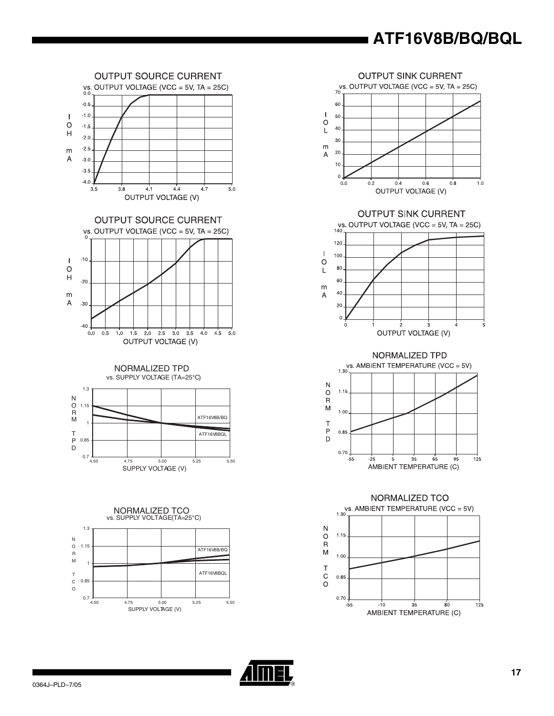

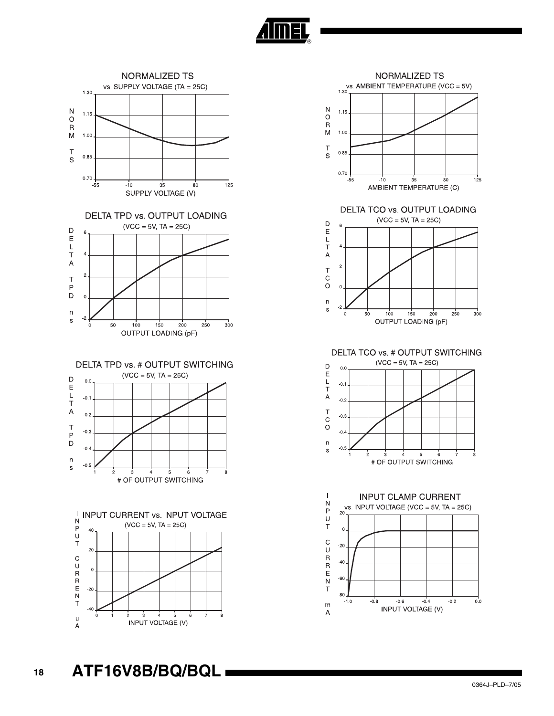



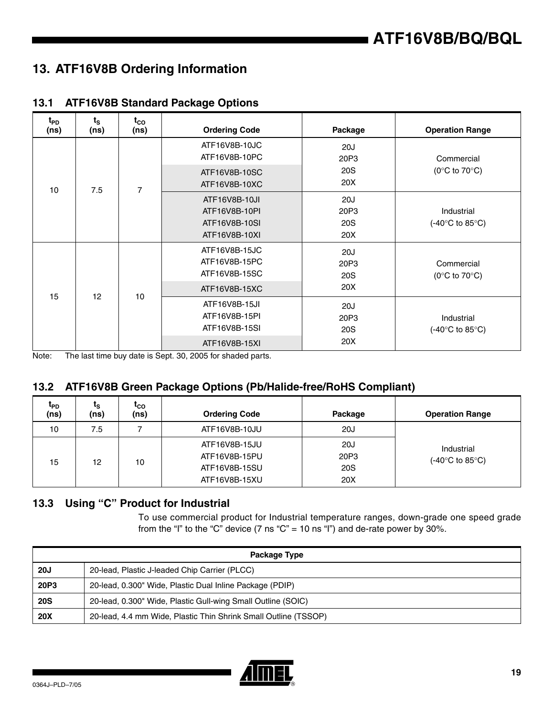## <span id="page-18-0"></span>**13. ATF16V8B Ordering Information**

| $t_{PD}$<br>(ns) | $t_{S}$<br>(ns) | $t_{\rm CO}$<br>(ns) | <b>Ordering Code</b>                                             | Package                   | <b>Operation Range</b>                                   |
|------------------|-----------------|----------------------|------------------------------------------------------------------|---------------------------|----------------------------------------------------------|
| 10               |                 | $\overline{7}$       | ATF16V8B-10JC<br>ATF16V8B-10PC                                   | 20J<br>20P3               | Commercial                                               |
|                  | 7.5             |                      | ATF16V8B-10SC<br>ATF16V8B-10XC                                   | <b>20S</b><br>20X         | ( $0^{\circ}$ C to $70^{\circ}$ C)                       |
|                  |                 |                      | ATF16V8B-10JI<br>ATF16V8B-10PI<br>ATF16V8B-10SI<br>ATF16V8B-10XI | 20J<br>20P3<br>20S<br>20X | Industrial<br>$(-40^{\circ}C \text{ to } 85^{\circ}C)$   |
| 15               |                 | 10                   | ATF16V8B-15JC<br>ATF16V8B-15PC<br>ATF16V8B-15SC                  | 20J<br>20P3<br>20S        | Commercial<br>(0 $\rm ^{\circ}C$ to 70 $\rm ^{\circ}C$ ) |
|                  | 12              |                      | ATF16V8B-15XC                                                    | 20X                       |                                                          |
|                  |                 |                      | ATF16V8B-15JI<br>ATF16V8B-15PI<br>ATF16V8B-15SI                  | 20J<br>20P3<br>20S        | Industrial<br>(-40 $\degree$ C to 85 $\degree$ C)        |
|                  |                 |                      | ATF16V8B-15XI                                                    | 20X                       |                                                          |

#### **13.1 ATF16V8B Standard Package Options**

Note: The last time buy date is Sept. 30, 2005 for shaded parts.

### **13.2 ATF16V8B Green Package Options (Pb/Halide-free/RoHS Compliant)**

| t <sub>PD</sub><br>(ns) | ւ <sub>Տ</sub><br>(ns) | $\mathfrak{r}_{\text{CO}}$<br>(ns) | <b>Ordering Code</b> | Package | <b>Operation Range</b>                   |
|-------------------------|------------------------|------------------------------------|----------------------|---------|------------------------------------------|
| 10                      | 7.5                    |                                    | ATF16V8B-10JU        | 20J     |                                          |
|                         |                        |                                    | ATF16V8B-15JU        | 20J     | Industrial                               |
| 15                      |                        | 10<br>12                           | ATF16V8B-15PU        | 20P3    | $(-40^{\circ}C \text{ to } 85^{\circ}C)$ |
|                         |                        | ATF16V8B-15SU                      | <b>20S</b>           |         |                                          |
|                         |                        |                                    | ATF16V8B-15XU        | 20X     |                                          |

### **13.3 Using "C" Product for Industrial**

To use commercial product for Industrial temperature ranges, down-grade one speed grade from the "I" to the "C" device (7 ns "C" = 10 ns "I") and de-rate power by 30%.

| Package Type |                                                                 |  |  |  |  |
|--------------|-----------------------------------------------------------------|--|--|--|--|
| <b>20J</b>   | 20-lead, Plastic J-leaded Chip Carrier (PLCC)                   |  |  |  |  |
| <b>20P3</b>  | 20-lead, 0.300" Wide, Plastic Dual Inline Package (PDIP)        |  |  |  |  |
| <b>20S</b>   | 20-lead, 0.300" Wide, Plastic Gull-wing Small Outline (SOIC)    |  |  |  |  |
| <b>20X</b>   | 20-lead, 4.4 mm Wide, Plastic Thin Shrink Small Outline (TSSOP) |  |  |  |  |

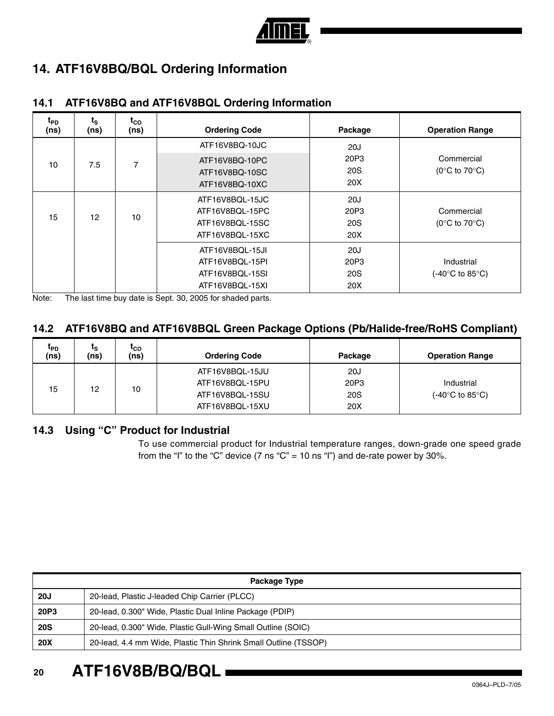

## <span id="page-19-0"></span>**14. ATF16V8BQ/BQL Ordering Information**

| t <sub>PD</sub><br>(ns) | $t_{\rm S}$<br>(ns) | t <sub>co</sub><br>(ns) | <b>Ordering Code</b> | Package | <b>Operation Range</b>            |
|-------------------------|---------------------|-------------------------|----------------------|---------|-----------------------------------|
|                         |                     |                         | ATF16V8BQ-10JC       | 20J     |                                   |
| 10                      | 7.5                 | 7                       | ATF16V8BQ-10PC       | 20P3    | Commercial                        |
|                         |                     |                         | ATF16V8BQ-10SC       | 20S     | (0 $\degree$ C to 70 $\degree$ C) |
|                         |                     |                         | ATF16V8BQ-10XC       | 20X     |                                   |
|                         |                     |                         | ATF16V8BOL-15JC      | 20J     |                                   |
| 15                      | 12                  | 10                      | ATF16V8BQL-15PC      | 20P3    | Commercial                        |
|                         |                     |                         | ATF16V8BOL-15SC      | 20S     | (0 $\degree$ C to 70 $\degree$ C) |
|                         |                     |                         | ATF16V8BQL-15XC      | 20X     |                                   |
|                         |                     |                         | ATF16V8BQL-15JI      | 20J     |                                   |
|                         |                     |                         | ATF16V8BQL-15PI      | 20P3    | Industrial                        |
|                         |                     |                         | ATF16V8BQL-15SI      | 20S     | (-40°C to 85°C)                   |
|                         |                     |                         | ATF16V8BQL-15XI      | 20X     |                                   |

#### **14.1 ATF16V8BQ and ATF16V8BQL Ordering Information**

Note: The last time buy date is Sept. 30, 2005 for shaded parts.

#### **14.2 ATF16V8BQ and ATF16V8BQL Green Package Options (Pb/Halide-free/RoHS Compliant)**

| <b>L</b> PD<br>(ns) | ւς<br>(ns) | <sup>L</sup> CO<br>(ns) | <b>Ordering Code</b>                                                     | Package                          | <b>Operation Range</b>                            |
|---------------------|------------|-------------------------|--------------------------------------------------------------------------|----------------------------------|---------------------------------------------------|
| 15                  | 12         | 10                      | ATF16V8BQL-15JU<br>ATF16V8BQL-15PU<br>ATF16V8BQL-15SU<br>ATF16V8BQL-15XU | 20J<br>20P3<br><b>20S</b><br>20X | Industrial<br>(-40 $\degree$ C to 85 $\degree$ C) |

#### **14.3 Using "C" Product for Industrial**

To use commercial product for Industrial temperature ranges, down-grade one speed grade from the "I" to the "C" device  $(7 \text{ ns } "C" = 10 \text{ ns } "I")$  and de-rate power by 30%.

| Package Type |                                                                 |  |  |  |
|--------------|-----------------------------------------------------------------|--|--|--|
| 20J          | 20-lead, Plastic J-leaded Chip Carrier (PLCC)                   |  |  |  |
| 20P3         | 20-lead, 0.300" Wide, Plastic Dual Inline Package (PDIP)        |  |  |  |
| <b>20S</b>   | 20-lead, 0.300" Wide, Plastic Gull-Wing Small Outline (SOIC)    |  |  |  |
| <b>20X</b>   | 20-lead, 4.4 mm Wide, Plastic Thin Shrink Small Outline (TSSOP) |  |  |  |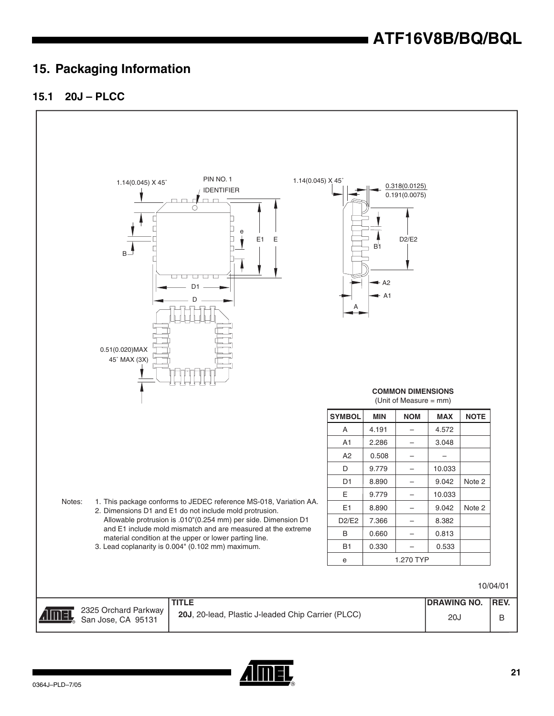## **15. Packaging Information**

#### **15.1 20J – PLCC**



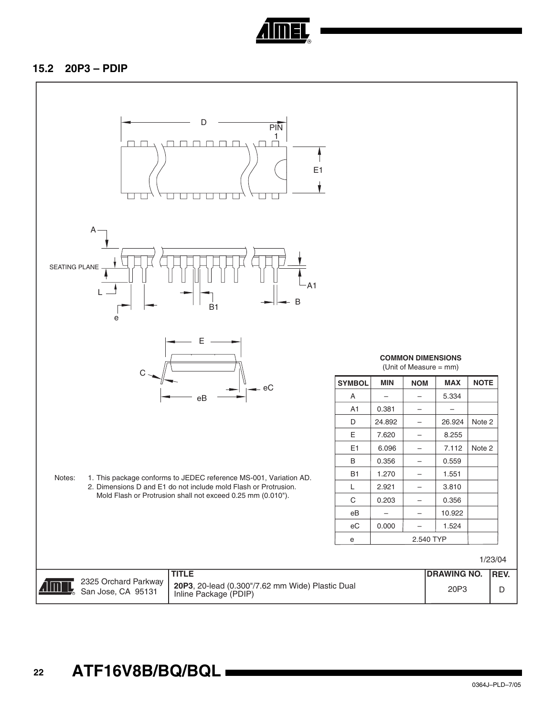

#### **15.2 20P3 – PDIP**

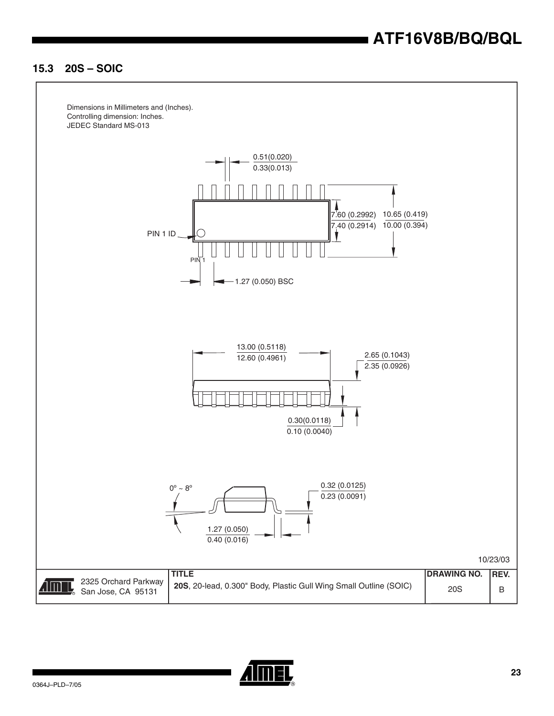#### **15.3 20S – SOIC**



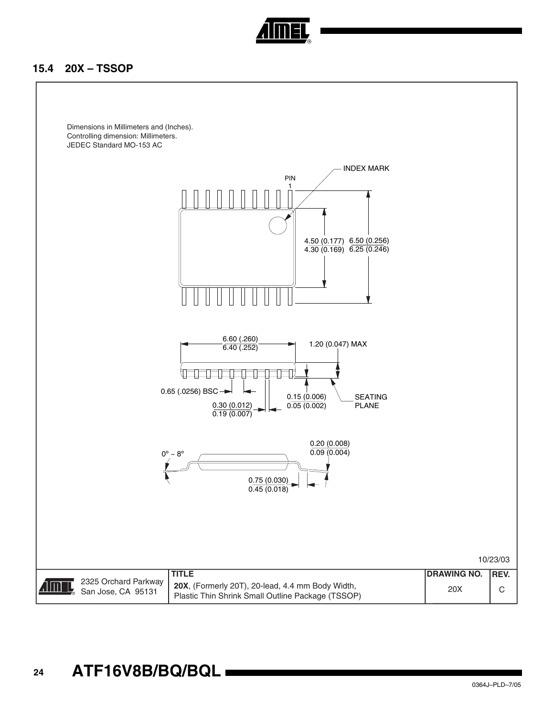

#### **15.4 20X – TSSOP**

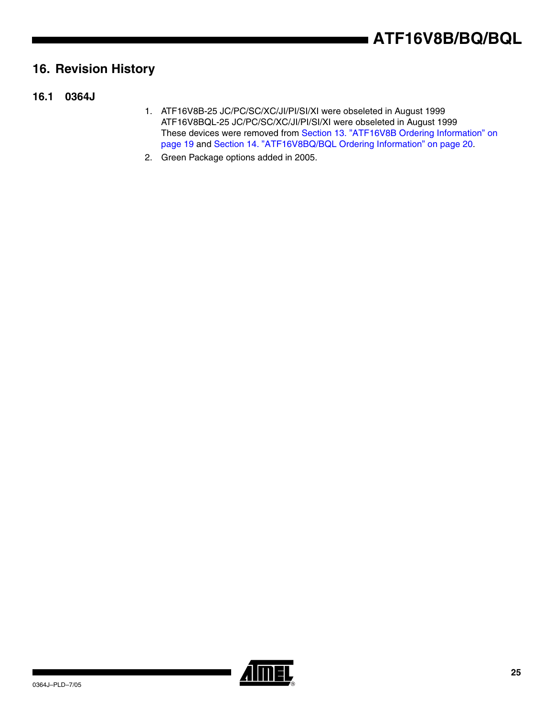## **16. Revision History**

#### **16.1 0364J**

- 1. ATF16V8B-25 JC/PC/SC/XC/JI/PI/SI/XI were obseleted in August 1999 ATF16V8BQL-25 JC/PC/SC/XC/JI/PI/SI/XI were obseleted in August 1999 These devices were removed from [Section 13. "ATF16V8B Ordering Information" on](#page-18-0)  [page 19](#page-18-0) and [Section 14. "ATF16V8BQ/BQL Ordering Information" on page 20.](#page-19-0)
- 2. Green Package options added in 2005.

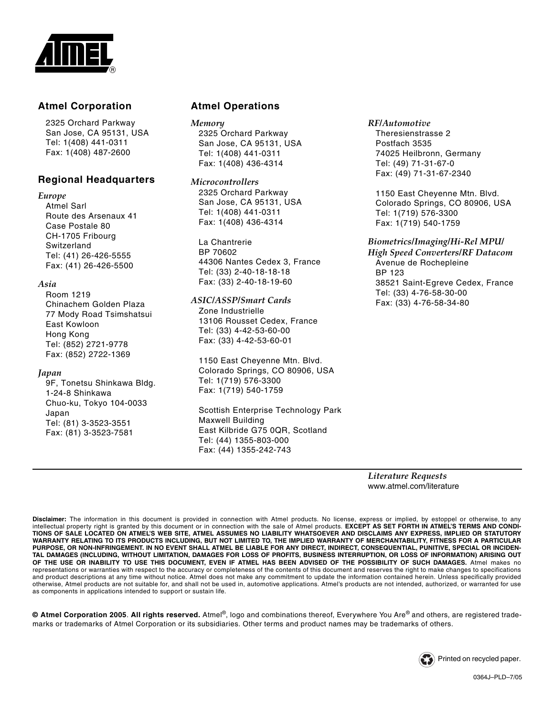

#### **Atmel Corporation Atmel Operations**

2325 Orchard Parkway San Jose, CA 95131, USA Tel: 1(408) 441-0311 Fax: 1(408) 487-2600

#### **Regional Headquarters**

#### *Europe*

Atmel Sarl Route des Arsenaux 41 Case Postale 80 CH-1705 Fribourg Switzerland Tel: (41) 26-426-5555 Fax: (41) 26-426-5500

#### *Asia*

Room 1219 Chinachem Golden Plaza 77 Mody Road Tsimshatsui East Kowloon Hong Kong Tel: (852) 2721-9778 Fax: (852) 2722-1369

#### *Japan*

9F, Tonetsu Shinkawa Bldg. 1-24-8 Shinkawa Chuo-ku, Tokyo 104-0033 Japan Tel: (81) 3-3523-3551 Fax: (81) 3-3523-7581

*Memory* 2325 Orchard Parkway San Jose, CA 95131, USA Tel: 1(408) 441-0311 Fax: 1(408) 436-4314

#### *Microcontrollers*

2325 Orchard Parkway San Jose, CA 95131, USA Tel: 1(408) 441-0311 Fax: 1(408) 436-4314

La Chantrerie BP 70602 44306 Nantes Cedex 3, France Tel: (33) 2-40-18-18-18 Fax: (33) 2-40-18-19-60

#### *ASIC/ASSP/Smart Cards*

Zone Industrielle 13106 Rousset Cedex, France Tel: (33) 4-42-53-60-00 Fax: (33) 4-42-53-60-01

1150 East Cheyenne Mtn. Blvd. Colorado Springs, CO 80906, USA Tel: 1(719) 576-3300 Fax: 1(719) 540-1759

Scottish Enterprise Technology Park Maxwell Building East Kilbride G75 0QR, Scotland Tel: (44) 1355-803-000 Fax: (44) 1355-242-743

*RF/Automotive*

Theresienstrasse 2 Postfach 3535 74025 Heilbronn, Germany Tel: (49) 71-31-67-0 Fax: (49) 71-31-67-2340

1150 East Cheyenne Mtn. Blvd. Colorado Springs, CO 80906, USA Tel: 1(719) 576-3300 Fax: 1(719) 540-1759

*Biometrics/Imaging/Hi-Rel MPU/ High Speed Converters/RF Datacom* Avenue de Rochepleine BP 123 38521 Saint-Egreve Cedex, France Tel: (33) 4-76-58-30-00 Fax: (33) 4-76-58-34-80

*Literature Requests* www.atmel.com/literature

**Disclaimer:** The information in this document is provided in connection with Atmel products. No license, express or implied, by estoppel or otherwise, to any intellectual property right is granted by this document or in connection with the sale of Atmel products. EXCEPT AS SET FORTH IN ATMEL'S TERMS AND CONDI-<br>TIONS OF SALE LOCATED ON ATMEL'S WEB SITE, ATMEL ASSUMES NO LIABILIT **WARRANTY RELATING TO ITS PRODUCTS INCLUDING, BUT NOT LIMITED TO, THE IMPLIED WARRANTY OF MERCHANTABILITY, FITNESS FOR A PARTICULAR PURPOSE, OR NON-INFRINGEMENT. IN NO EVENT SHALL ATMEL BE LIABLE FOR ANY DIRECT, INDIRECT, CONSEQUENTIAL, PUNITIVE, SPECIAL OR INCIDEN-TAL DAMAGES (INCLUDING, WITHOUT LIMITATION, DAMAGES FOR LOSS OF PROFITS, BUSINESS INTERRUPTION, OR LOSS OF INFORMATION) ARISING OUT OF THE USE OR INABILITY TO USE THIS DOCUMENT, EVEN IF ATMEL HAS BEEN ADVISED OF THE POSSIBILITY OF SUCH DAMAGES.** Atmel makes no representations or warranties with respect to the accuracy or completeness of the contents of this document and reserves the right to make changes to specifications and product descriptions at any time without notice. Atmel does not make any commitment to update the information contained herein. Unless specifically provided otherwise, Atmel products are not suitable for, and shall not be used in, automotive applications. Atmel's products are not intended, authorized, or warranted for use as components in applications intended to support or sustain life.

**© Atmel Corporation 2005**. **All rights reserved.** Atmel®, logo and combinations thereof, Everywhere You Are® and others, are registered trademarks or trademarks of Atmel Corporation or its subsidiaries. Other terms and product names may be trademarks of others.